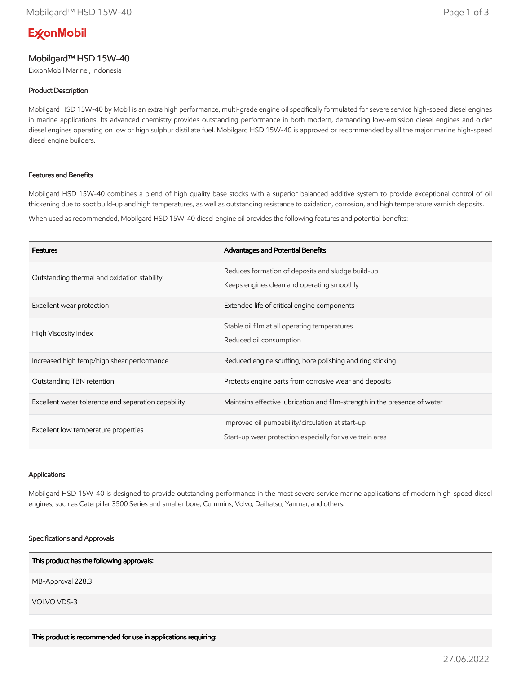# **ExconMobil**

# Mobilgard™ HSD 15W-40

ExxonMobil Marine , Indonesia

# Product Description

Mobilgard HSD 15W-40 by Mobil is an extra high performance, multi-grade engine oil specifically formulated for severe service high-speed diesel engines in marine applications. Its advanced chemistry provides outstanding performance in both modern, demanding low-emission diesel engines and older diesel engines operating on low or high sulphur distillate fuel. Mobilgard HSD 15W-40 is approved or recommended by all the major marine high-speed diesel engine builders.

### Features and Benefits

Mobilgard HSD 15W-40 combines a blend of high quality base stocks with a superior balanced additive system to provide exceptional control of oil thickening due to soot build-up and high temperatures, as well as outstanding resistance to oxidation, corrosion, and high temperature varnish deposits.

When used as recommended, Mobilgard HSD 15W-40 diesel engine oil provides the following features and potential benefits:

| <b>Features</b>                                     | Advantages and Potential Benefits                                                                            |
|-----------------------------------------------------|--------------------------------------------------------------------------------------------------------------|
| Outstanding thermal and oxidation stability         | Reduces formation of deposits and sludge build-up<br>Keeps engines clean and operating smoothly              |
| Excellent wear protection                           | Extended life of critical engine components                                                                  |
| High Viscosity Index                                | Stable oil film at all operating temperatures<br>Reduced oil consumption                                     |
| Increased high temp/high shear performance          | Reduced engine scuffing, bore polishing and ring sticking                                                    |
| Outstanding TBN retention                           | Protects engine parts from corrosive wear and deposits                                                       |
| Excellent water tolerance and separation capability | Maintains effective lubrication and film-strength in the presence of water                                   |
| Excellent low temperature properties                | Improved oil pumpability/circulation at start-up<br>Start-up wear protection especially for valve train area |

#### Applications

Mobilgard HSD 15W-40 is designed to provide outstanding performance in the most severe service marine applications of modern high-speed diesel engines, such as Caterpillar 3500 Series and smaller bore, Cummins, Volvo, Daihatsu, Yanmar, and others.

#### Specifications and Approvals

This product has the following approvals:

MB-Approval 228.3

VOLVO VDS-3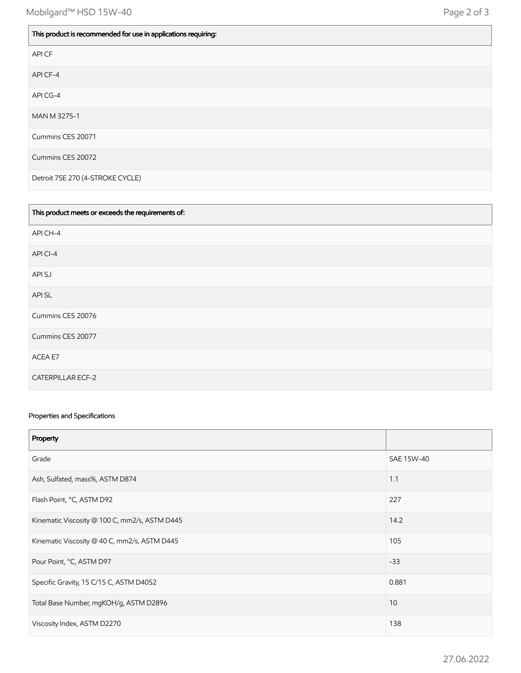| This product is recommended for use in applications requiring: |
|----------------------------------------------------------------|
| API CF                                                         |
| API CF-4                                                       |
| API CG-4                                                       |
| MAN M 3275-1                                                   |
| Cummins CES 20071                                              |
| Cummins CES 20072                                              |
| Detroit 7SE 270 (4-STROKE CYCLE)                               |

| This product meets or exceeds the requirements of: |
|----------------------------------------------------|
| API CH-4                                           |
| API CI-4                                           |
| API SJ                                             |
| API SL                                             |
| Cummins CES 20076                                  |
| Cummins CES 20077                                  |
| ACEA E7                                            |
| <b>CATERPILLAR ECF-2</b>                           |

# Properties and Specifications

| Property                                      |            |
|-----------------------------------------------|------------|
| Grade                                         | SAE 15W-40 |
| Ash, Sulfated, mass%, ASTM D874               | 1.1        |
| Flash Point, °C, ASTM D92                     | 227        |
| Kinematic Viscosity @ 100 C, mm2/s, ASTM D445 | 14.2       |
| Kinematic Viscosity @ 40 C, mm2/s, ASTM D445  | 105        |
| Pour Point, °C, ASTM D97                      | $-33$      |
| Specific Gravity, 15 C/15 C, ASTM D4052       | 0.881      |
| Total Base Number, mgKOH/g, ASTM D2896        | 10         |
| Viscosity Index, ASTM D2270                   | 138        |